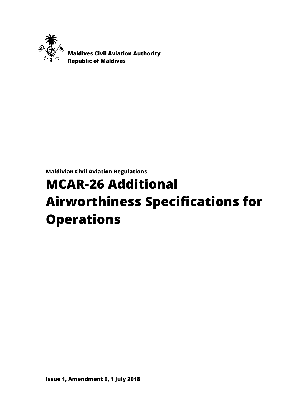

 **Maldives Civil Aviation Authority Republic of Maldives**

**Maldivian Civil Aviation Regulations**

# **MCAR-26 Additional Airworthiness Specifications for Operations**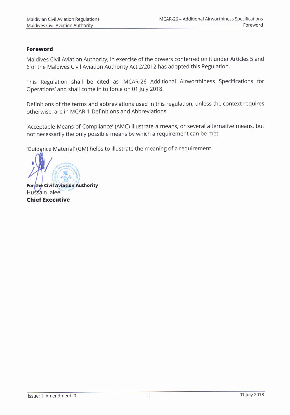#### Foreword

Maldives Civil Aviation Authority, in exercise of the powers conferred on it under Articles 5 and 6 of the Maldives Civil Aviation Authority Act 212012 has adopted this Regulation.

This Regulation shall be cited as'MCAR-26 Additional Airworthiness Specifications for Operations' and shall come in to force on 01 July 2018.

Definitions of the terms and abbreviations used in this regulation, unless the context requires otherwise, are in MCAR-1 Definitions and Abbreviations.

'Acceptable Means of Compliance'(AMC) illustrate a means, or several alternative means, but not necessarily the only possible means by which a requirement can be met.

'Guidance Material' (GM) helps to illustrate the meaning of a requirement.

Forthe Civil Aviation Authority Hussain Jaleel Chief Executive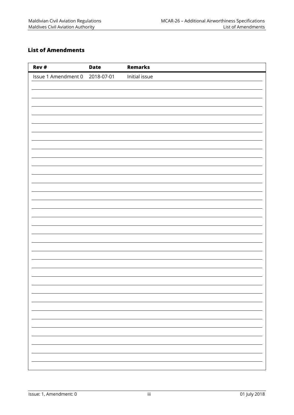## <span id="page-2-0"></span>**List of Amendments**

| Rev #                          | <b>Date</b> | <b>Remarks</b> |
|--------------------------------|-------------|----------------|
| Issue 1 Amendment 0 2018-07-01 |             | Initial issue  |
|                                |             |                |
|                                |             |                |
|                                |             |                |
|                                |             |                |
|                                |             |                |
|                                |             |                |
|                                |             |                |
|                                |             |                |
|                                |             |                |
|                                |             |                |
|                                |             |                |
|                                |             |                |
|                                |             |                |
|                                |             |                |
|                                |             |                |
|                                |             |                |
|                                |             |                |
|                                |             |                |
|                                |             |                |
|                                |             |                |
|                                |             |                |
|                                |             |                |
|                                |             |                |
|                                |             |                |
|                                |             |                |
|                                |             |                |
|                                |             |                |
|                                |             |                |
|                                |             |                |
|                                |             |                |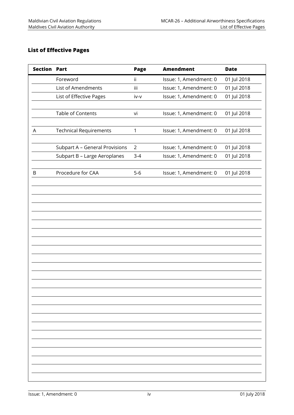### <span id="page-3-0"></span>**List of Effective Pages**

| <b>Section Part</b> |                                | Page           | <b>Amendment</b>       | <b>Date</b> |
|---------------------|--------------------------------|----------------|------------------------|-------------|
|                     | Foreword                       | Ϊİ             | Issue: 1, Amendment: 0 | 01 Jul 2018 |
|                     | List of Amendments             | iii            | Issue: 1, Amendment: 0 | 01 Jul 2018 |
|                     | List of Effective Pages        | iv-v           | Issue: 1, Amendment: 0 | 01 Jul 2018 |
|                     |                                |                |                        |             |
|                     | Table of Contents              | vi             | Issue: 1, Amendment: 0 | 01 Jul 2018 |
|                     |                                |                |                        |             |
| A                   | <b>Technical Requirements</b>  | $\mathbf{1}$   | Issue: 1, Amendment: 0 | 01 Jul 2018 |
|                     |                                |                |                        |             |
|                     | Subpart A - General Provisions | $\overline{2}$ | Issue: 1, Amendment: 0 | 01 Jul 2018 |
|                     | Subpart B - Large Aeroplanes   | $3 - 4$        | Issue: 1, Amendment: 0 | 01 Jul 2018 |
|                     |                                |                |                        |             |
| B                   | Procedure for CAA              | $5-6$          | Issue: 1, Amendment: 0 | 01 Jul 2018 |
|                     |                                |                |                        |             |
|                     |                                |                |                        |             |
|                     |                                |                |                        |             |
|                     |                                |                |                        |             |
|                     |                                |                |                        |             |
|                     |                                |                |                        |             |
|                     |                                |                |                        |             |
|                     |                                |                |                        |             |
|                     |                                |                |                        |             |
|                     |                                |                |                        |             |
|                     |                                |                |                        |             |
|                     |                                |                |                        |             |
|                     |                                |                |                        |             |
|                     |                                |                |                        |             |
|                     |                                |                |                        |             |
|                     |                                |                |                        |             |
|                     |                                |                |                        |             |
|                     |                                |                |                        |             |
|                     |                                |                |                        |             |
|                     |                                |                |                        |             |
|                     |                                |                |                        |             |
|                     |                                |                |                        |             |
|                     |                                |                |                        |             |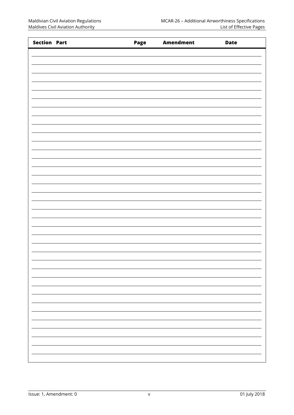| <b>Section Part</b> | Page | <b>Amendment</b> | <b>Date</b> |
|---------------------|------|------------------|-------------|
|                     |      |                  |             |
|                     |      |                  |             |
|                     |      |                  |             |
|                     |      |                  |             |
|                     |      |                  |             |
|                     |      |                  |             |
|                     |      |                  |             |
|                     |      |                  |             |
|                     |      |                  |             |
|                     |      |                  |             |
|                     |      |                  |             |
|                     |      |                  |             |
|                     |      |                  |             |
|                     |      |                  |             |
|                     |      |                  |             |
|                     |      |                  |             |
|                     |      |                  |             |
|                     |      |                  |             |
|                     |      |                  |             |
|                     |      |                  |             |
|                     |      |                  |             |
|                     |      |                  |             |
|                     |      |                  |             |
|                     |      |                  |             |
|                     |      |                  |             |
|                     |      |                  |             |
|                     |      |                  |             |
|                     |      |                  |             |
|                     |      |                  |             |
|                     |      |                  |             |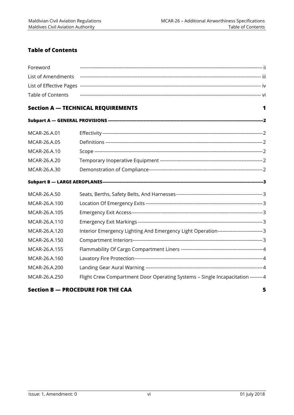# <span id="page-5-0"></span>**Table of Contents**

| Foreword           |                                                                                       |   |
|--------------------|---------------------------------------------------------------------------------------|---|
| List of Amendments |                                                                                       |   |
|                    |                                                                                       |   |
| Table of Contents  |                                                                                       |   |
|                    | <b>Section A - TECHNICAL REQUIREMENTS</b>                                             | 1 |
|                    |                                                                                       |   |
| MCAR-26.A.01       |                                                                                       |   |
| MCAR-26.A.05       |                                                                                       |   |
| MCAR-26.A.10       |                                                                                       |   |
| MCAR-26.A.20       |                                                                                       |   |
| MCAR-26.A.30       |                                                                                       |   |
|                    |                                                                                       |   |
| MCAR-26.A.50       |                                                                                       |   |
| MCAR-26.A.100      |                                                                                       |   |
| MCAR-26.A.105      |                                                                                       |   |
| MCAR-26.A.110      |                                                                                       |   |
| MCAR-26.A.120      | Interior Emergency Lighting And Emergency Light Operation---------------------------3 |   |
| MCAR-26.A.150      |                                                                                       |   |
| MCAR-26.A.155      |                                                                                       |   |
| MCAR-26.A.160      |                                                                                       |   |
| MCAR-26.A.200      |                                                                                       |   |
| MCAR-26.A.250      | Flight Crew Compartment Door Operating Systems - Single Incapacitation -------- 4     |   |
|                    |                                                                                       |   |

#### **Section B — [PROCEDURE FOR THE CAA](#page-10-0) 5**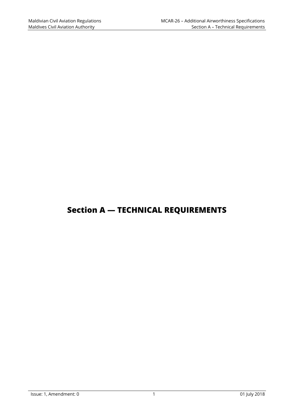# <span id="page-6-0"></span>**Section A — TECHNICAL REQUIREMENTS**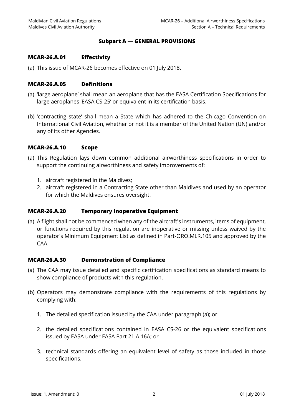#### **Subpart A — GENERAL PROVISIONS**

#### <span id="page-7-1"></span><span id="page-7-0"></span>**MCAR-26.A.01 Effectivity**

<span id="page-7-2"></span>(a) This issue of MCAR-26 becomes effective on 01 July 2018.

#### **MCAR-26.A.05 Definitions**

- (a) 'large aeroplane' shall mean an aeroplane that has the EASA Certification Specifications for large aeroplanes 'EASA CS-25' or equivalent in its certification basis.
- (b) 'contracting state' shall mean a State which has adhered to the Chicago Convention on International Civil Aviation, whether or not it is a member of the United Nation (UN) and/or any of its other Agencies.

#### <span id="page-7-3"></span>**MCAR-26.A.10 Scope**

- (a) This Regulation lays down common additional airworthiness specifications in order to support the continuing airworthiness and safety improvements of:
	- 1. aircraft registered in the Maldives;
	- 2. aircraft registered in a Contracting State other than Maldives and used by an operator for which the Maldives ensures oversight.

#### <span id="page-7-4"></span>**MCAR-26.A.20 Temporary Inoperative Equipment**

(a) A flight shall not be commenced when any of the aircraft's instruments, items of equipment, or functions required by this regulation are inoperative or missing unless waived by the operator's Minimum Equipment List as defined in Part-ORO.MLR.105 and approved by the CAA.

#### <span id="page-7-5"></span>**MCAR-26.A.30 Demonstration of Compliance**

- (a) The CAA may issue detailed and specific certification specifications as standard means to show compliance of products with this regulation.
- (b) Operators may demonstrate compliance with the requirements of this regulations by complying with:
	- 1. The detailed specification issued by the CAA under paragraph (a); or
	- 2. the detailed specifications contained in EASA CS-26 or the equivalent specifications issued by EASA under EASA Part 21.A.16A; or
	- 3. technical standards offering an equivalent level of safety as those included in those specifications.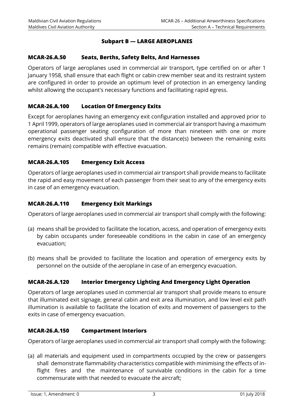#### **Subpart B — LARGE AEROPLANES**

#### <span id="page-8-1"></span><span id="page-8-0"></span>**MCAR-26.A.50 Seats, Berths, Safety Belts, And Harnesses**

Operators of large aeroplanes used in commercial air transport, type certified on or after 1 January 1958, shall ensure that each flight or cabin crew member seat and its restraint system are configured in order to provide an optimum level of protection in an emergency landing whilst allowing the occupant's necessary functions and facilitating rapid egress.

#### <span id="page-8-2"></span>**MCAR-26.A.100 Location Of Emergency Exits**

Except for aeroplanes having an emergency exit configuration installed and approved prior to 1 April 1999, operators of large aeroplanes used in commercial air transport having a maximum operational passenger seating configuration of more than nineteen with one or more emergency exits deactivated shall ensure that the distance(s) between the remaining exits remains (remain) compatible with effective evacuation.

#### <span id="page-8-3"></span>**MCAR-26.A.105 Emergency Exit Access**

Operators of large aeroplanes used in commercial air transport shall provide means to facilitate the rapid and easy movement of each passenger from their seat to any of the emergency exits in case of an emergency evacuation.

#### <span id="page-8-4"></span>**MCAR-26.A.110 Emergency Exit Markings**

Operators of large aeroplanes used in commercial air transport shall comply with the following:

- (a) means shall be provided to facilitate the location, access, and operation of emergency exits by cabin occupants under foreseeable conditions in the cabin in case of an emergency evacuation;
- (b) means shall be provided to facilitate the location and operation of emergency exits by personnel on the outside of the aeroplane in case of an emergency evacuation.

#### <span id="page-8-5"></span>**MCAR-26.A.120 Interior Emergency Lighting And Emergency Light Operation**

Operators of large aeroplanes used in commercial air transport shall provide means to ensure that illuminated exit signage, general cabin and exit area illumination, and low level exit path illumination is available to facilitate the location of exits and movement of passengers to the exits in case of emergency evacuation.

#### <span id="page-8-6"></span>**MCAR-26.A.150 Compartment Interiors**

Operators of large aeroplanes used in commercial air transport shall comply with the following:

(a) all materials and equipment used in compartments occupied by the crew or passengers shall demonstrate flammability characteristics compatible with minimising the effects of inflight fires and the maintenance of survivable conditions in the cabin for a time commensurate with that needed to evacuate the aircraft;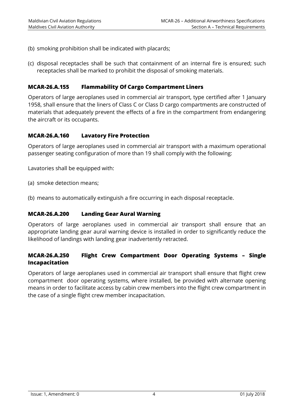- (b) smoking prohibition shall be indicated with placards;
- (c) disposal receptacles shall be such that containment of an internal fire is ensured; such receptacles shall be marked to prohibit the disposal of smoking materials.

#### <span id="page-9-0"></span>**MCAR-26.A.155 Flammability Of Cargo Compartment Liners**

Operators of large aeroplanes used in commercial air transport, type certified after 1 January 1958, shall ensure that the liners of Class C or Class D cargo compartments are constructed of materials that adequately prevent the effects of a fire in the compartment from endangering the aircraft or its occupants.

#### <span id="page-9-1"></span>**MCAR-26.A.160 Lavatory Fire Protection**

Operators of large aeroplanes used in commercial air transport with a maximum operational passenger seating configuration of more than 19 shall comply with the following:

Lavatories shall be equipped with:

- (a) smoke detection means;
- <span id="page-9-2"></span>(b) means to automatically extinguish a fire occurring in each disposal receptacle.

#### **MCAR-26.A.200 Landing Gear Aural Warning**

Operators of large aeroplanes used in commercial air transport shall ensure that an appropriate landing gear aural warning device is installed in order to significantly reduce the likelihood of landings with landing gear inadvertently retracted.

#### <span id="page-9-3"></span>**MCAR-26.A.250 Flight Crew Compartment Door Operating Systems – Single Incapacitation**

Operators of large aeroplanes used in commercial air transport shall ensure that flight crew compartment door operating systems, where installed, be provided with alternate opening means in order to facilitate access by cabin crew members into the flight crew compartment in the case of a single flight crew member incapacitation.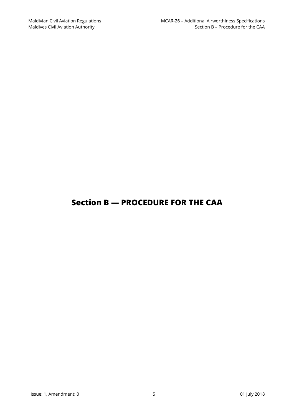# <span id="page-10-0"></span>**Section B — PROCEDURE FOR THE CAA**